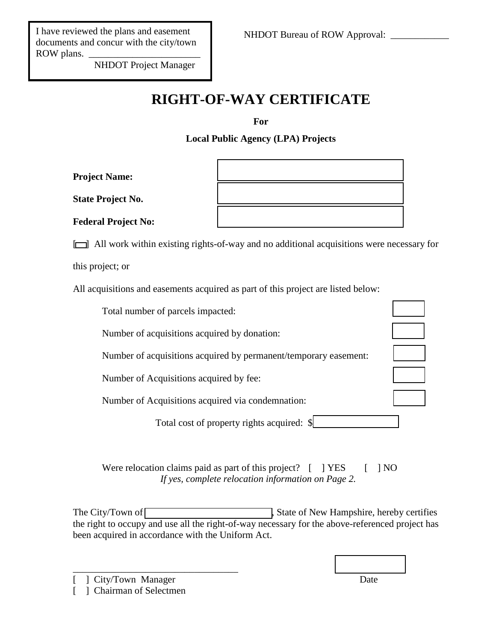NHDOT Project Manager

## **RIGHT-OF-WAY CERTIFICATE**

**For**

**Local Public Agency (LPA) Projects**

**Project Name:** 

State Project No.

Federal Project No:

[ ] All work within existing rights-of-way and no additional acquisitions were necessary for

this project; or

All acquisitions and easements acquired as part of this project are listed below:

| Total number of parcels impacted:                                |  |
|------------------------------------------------------------------|--|
| Number of acquisitions acquired by donation:                     |  |
| Number of acquisitions acquired by permanent/temporary easement: |  |
| Number of Acquisitions acquired by fee:                          |  |
| Number of Acquisitions acquired via condemnation:                |  |
| Total cost of property rights acquired: \,                       |  |
|                                                                  |  |

Were relocation claims paid as part of this project?  $[$  ] YES  $[$  ] NO *If yes, complete relocation information on Page 2.*

The City/Town of **we are constructed** State of New Hampshire, hereby certifies the right to occupy and use all the right-of-way necessary for the above-referenced project has been acquired in accordance with the Uniform Act.

 $\frac{1}{2}$  ,  $\frac{1}{2}$  ,  $\frac{1}{2}$  ,  $\frac{1}{2}$  ,  $\frac{1}{2}$  ,  $\frac{1}{2}$  ,  $\frac{1}{2}$  ,  $\frac{1}{2}$  ,  $\frac{1}{2}$  ,  $\frac{1}{2}$  ,  $\frac{1}{2}$  ,  $\frac{1}{2}$  ,  $\frac{1}{2}$  ,  $\frac{1}{2}$  ,  $\frac{1}{2}$  ,  $\frac{1}{2}$  ,  $\frac{1}{2}$  ,  $\frac{1}{2}$  ,  $\frac{1$ 

] City/Town Manager Date [ ] Chairman of Selectmen